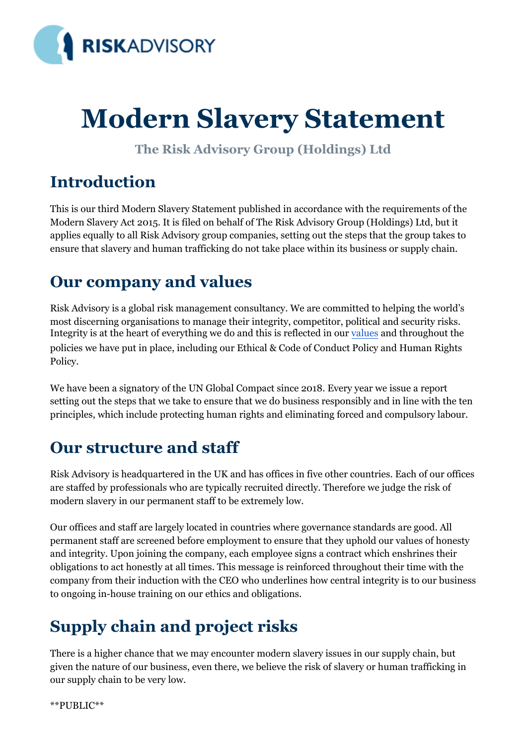

# **Modern Slavery Statement**

**The Risk Advisory Group (Holdings) Ltd** 

## **Introduction**

This is our third Modern Slavery Statement published in accordance with the requirements of the Modern Slavery Act 2015. It is filed on behalf of The Risk Advisory Group (Holdings) Ltd, but it applies equally to all Risk Advisory group companies, setting out the steps that the group takes to ensure that slavery and human trafficking do not take place within its business or supply chain.

#### **Our company and values**

Risk Advisory is a global risk management consultancy. We are committed to helping the world's most discerning organisations to manage their integrity, competitor, political and security risks. Integrity is at the heart of everything we do and this is reflected in our [values](https://www.riskadvisory.com/who-we-are/our-values/) and throughout the policies we have put in place, including our Ethical & Code of Conduct Policy and Human Rights Policy.

We have been a signatory of the UN Global Compact since 2018. Every year we issue a report setting out the steps that we take to ensure that we do business responsibly and in line with the ten principles, which include protecting human rights and eliminating forced and compulsory labour.

#### **Our structure and staff**

Risk Advisory is headquartered in the UK and has offices in five other countries. Each of our offices are staffed by professionals who are typically recruited directly. Therefore we judge the risk of modern slavery in our permanent staff to be extremely low.

Our offices and staff are largely located in countries where governance standards are good. All permanent staff are screened before employment to ensure that they uphold our values of honesty and integrity. Upon joining the company, each employee signs a contract which enshrines their obligations to act honestly at all times. This message is reinforced throughout their time with the company from their induction with the CEO who underlines how central integrity is to our business to ongoing in-house training on our ethics and obligations.

# **Supply chain and project risks**

There is a higher chance that we may encounter modern slavery issues in our supply chain, but given the nature of our business, even there, we believe the risk of slavery or human trafficking in our supply chain to be very low.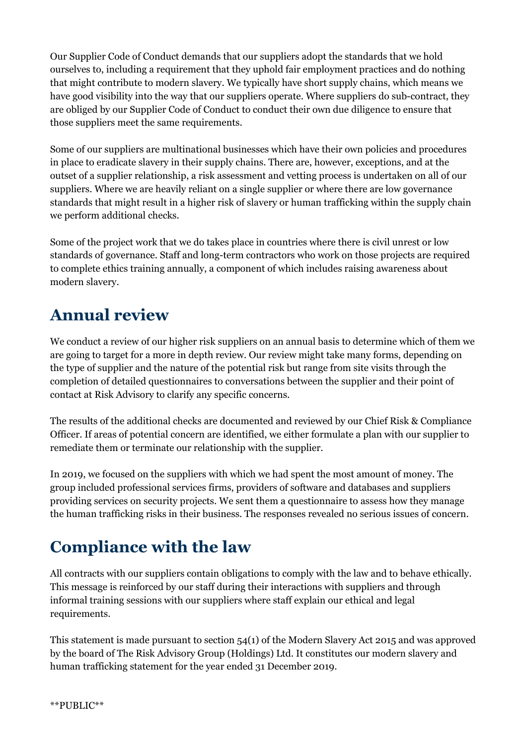Our Supplier Code of Conduct demands that our suppliers adopt the standards that we hold ourselves to, including a requirement that they uphold fair employment practices and do nothing that might contribute to modern slavery. We typically have short supply chains, which means we have good visibility into the way that our suppliers operate. Where suppliers do sub-contract, they are obliged by our Supplier Code of Conduct to conduct their own due diligence to ensure that those suppliers meet the same requirements.

Some of our suppliers are multinational businesses which have their own policies and procedures in place to eradicate slavery in their supply chains. There are, however, exceptions, and at the outset of a supplier relationship, a risk assessment and vetting process is undertaken on all of our suppliers. Where we are heavily reliant on a single supplier or where there are low governance standards that might result in a higher risk of slavery or human trafficking within the supply chain we perform additional checks.

Some of the project work that we do takes place in countries where there is civil unrest or low standards of governance. Staff and long-term contractors who work on those projects are required to complete ethics training annually, a component of which includes raising awareness about modern slavery.

### **Annual review**

We conduct a review of our higher risk suppliers on an annual basis to determine which of them we are going to target for a more in depth review. Our review might take many forms, depending on the type of supplier and the nature of the potential risk but range from site visits through the completion of detailed questionnaires to conversations between the supplier and their point of contact at Risk Advisory to clarify any specific concerns.

The results of the additional checks are documented and reviewed by our Chief Risk & Compliance Officer. If areas of potential concern are identified, we either formulate a plan with our supplier to remediate them or terminate our relationship with the supplier.

In 2019, we focused on the suppliers with which we had spent the most amount of money. The group included professional services firms, providers of software and databases and suppliers providing services on security projects. We sent them a questionnaire to assess how they manage the human trafficking risks in their business. The responses revealed no serious issues of concern.

# **Compliance with the law**

All contracts with our suppliers contain obligations to comply with the law and to behave ethically. This message is reinforced by our staff during their interactions with suppliers and through informal training sessions with our suppliers where staff explain our ethical and legal requirements.

This statement is made pursuant to section 54(1) of the Modern Slavery Act 2015 and was approved by the board of The Risk Advisory Group (Holdings) Ltd. It constitutes our modern slavery and human trafficking statement for the year ended 31 December 2019.